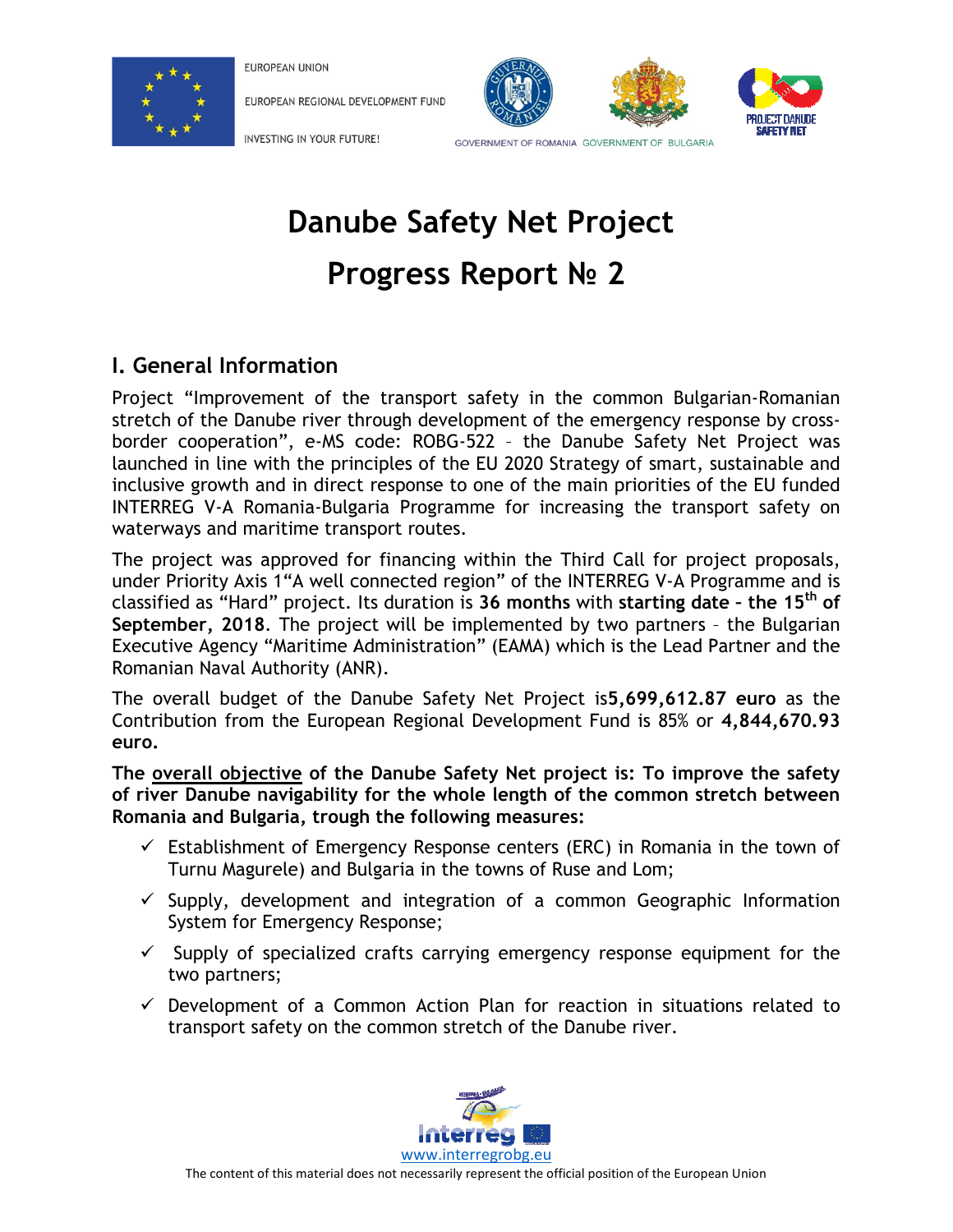

**FUROPEAN UNION** 

EUROPEAN REGIONAL DEVELOPMENT FUND





INVESTING IN YOUR FUTURE!

GOVERNMENT OF ROMANIA GOVERNMENT OF BULGARIA

# Danube Safety Net Project Progress Report No 2

## I. General Information

Project "Improvement of the transport safety in the common Bulgarian stretch of the Danube river through development of the emergency response by cross-Project "Improvement of the transport safety in the common Bulgarian-Romanian<br>stretch of the Danube river through development of the emergency response by cross-<br>border cooperation", e-MS code: ROBG-522 - the Danube Safety launched in line with the principles of the EU 2020 Strategy of smart, sustainable and inclusive growth and in direct response to one of the main priorities of the EU funded INTERREG V-A Romania-Bulgaria Programme for increasing the transport safety on waterways and maritime transport routes. Danube Safety Net Project<br>
Progress Report № 2<br>
ation<br>
to the transport safety in the common Bulgarian-<br>
eriver through development of the emergency response<br>
eriver through development of the emergency response<br>
eriver t inclusive growth and in direct response to one of the main priorities of the EU<br>INTERREG V-A Romania-Bulgaria Programme for increasing the transport saf<br>waterways and maritime transport routes. transport safety in the common Bulgarian-Romanian Comet safety in the common Bulgarian-Romanian Consperation", e-MS code: ROBG-522 - the Danube Safety Net Project was cooperation", e-MS code: ROBG-522 - the Danube Safety N

The project was approved for financing within the Third Call for project proposals, The project was approved for financing within the Third Call for project proposals,<br>under Priority Axis 1"A well connected region" of the INTERREG V-A Programme and is classified as "Hard" project. Its duration is 36 months with starting date - the 15<sup>th</sup> of September, 2018. The project will be implemented by two partners - the Bulgarian Executive Agency "Maritime Administration" (EAMA) which is the Lead Partner Romanian Naval Authority (ANR). **r, 2018**. The project will be implemented by two partners - the Bı<br>Agency "Maritime Administration" (EAMA) which is the Lead Partner<br>Naval Authority (ANR).<br>Il budget of the Danube Safety Net Project is**5,699,612.87 euro** and the

The overall budget of the Danube Safety Net Project is5,699,612.87 euro as the Contribution from the European Regional Development Fund is 85% or 4,844,670.93 euro.

The <u>overall objective</u> of the Danube Safety Net project is: To improve the safety The <u>overall objective</u> of the Danube Safety Net project is: To improve the safety<br>of river Danube navigability for the whole length of the common stretch between Romania and Bulgaria, trough the following measures: Romania and Bulgaria, trough the

- $\checkmark$  Establishment of Emergency Response centers (ERC) in Romania in the town of Turnu Magurele) and Bulgaria in the towns of Ruse and Lom; Supplishment of Emergency Response centers (ERC) in Romania in the town of<br>Turnu Magurele) and Bulgaria in the towns of Ruse and Lom;<br>Supply, development and integration of a common Geographic Information
- System for Emergency Response;
- $\checkmark$  Supply of specialized crafts carrying emergency response equipment for the two partners; Supply, development and integration of a common Geographic Information<br>System for Emergency Response;<br>Supply of specialized crafts carrying emergency response equipment for the<br>two partners;<br>Development of a Common Action
- $\checkmark$  Development of a Common Action Plan for reaction in situations related to transport safety on the common stretch of the Danube river.

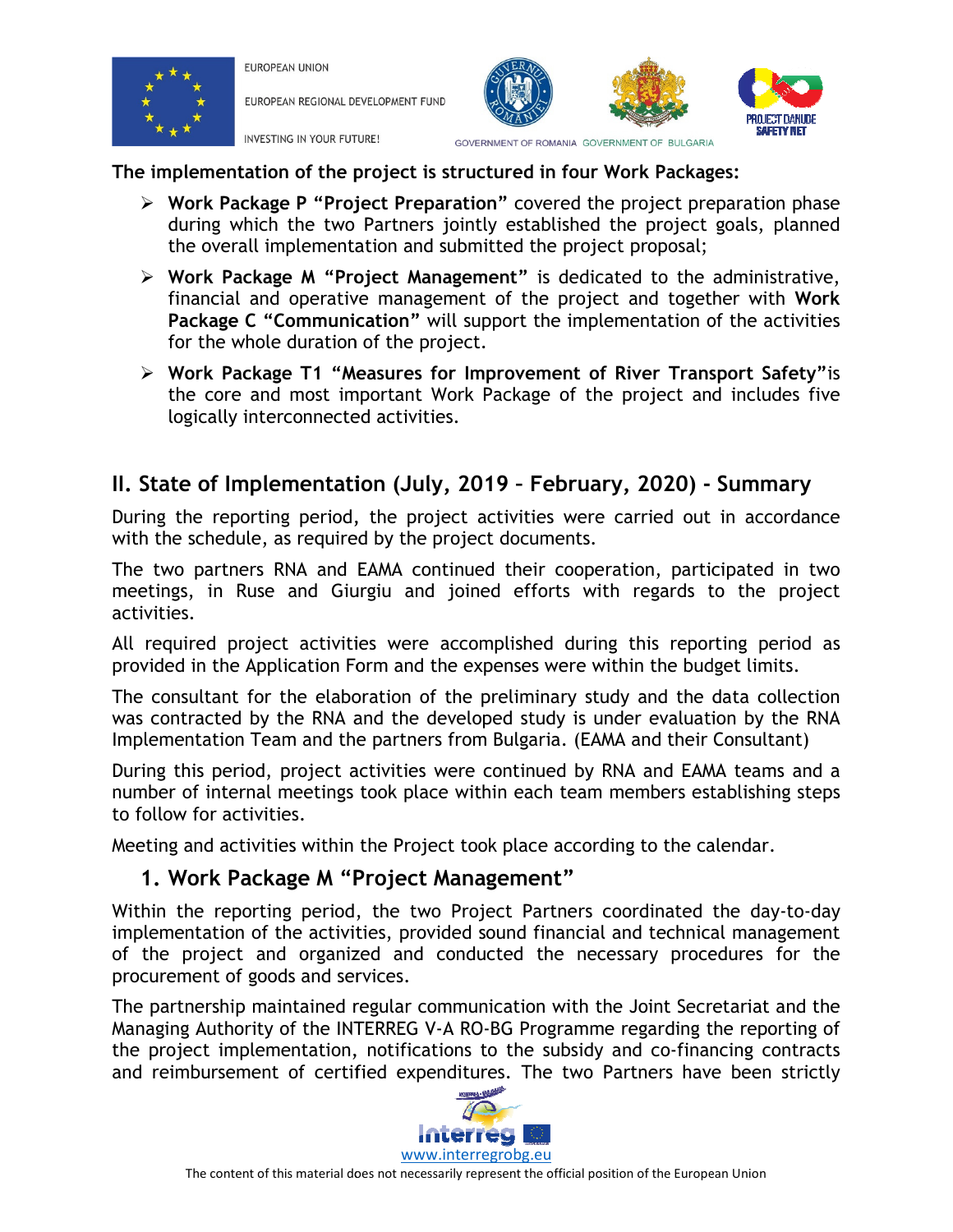

**FUROPEAN UNION** EUROPEAN REGIONAL DEVELOPMENT FUND

INVESTING IN YOUR FUTURE!



The implementation of the project is structured in four Work Packages:

- > Work Package P "Project Preparation" during which the two Partners jointly established the project goals, planned the overall implementation and submitted the project proposal;
- > Work Package M "Project Management" is dedicated to the administrative, financial and operative management of the project and together with Work Package C "Communication" will support the implementation of the activities for the whole duration of the project. Package C "Communication" will support the implementation of the activities<br>for the whole duration of the project.<br>> Work Package T1 "Measures for Improvement of River Transport Safety" is
- the core and most important Work Package of the project and includes five logically interconnected activities.

# II. State of Implementation (July, 2019 - February, 2020) - Summary

During the reporting period, the project activities were carried out in accordance with the schedule, as required by the project documents.

The two partners RNA and EAMA continued their cooperation, participated in two meetings, in Ruse and Giurgiu and joined efforts with regards to the project activities. ing the reporting period, the project activities were carried out in accordance<br>the schedule, as required by the project documents.<br>two partners RNA and EAMA continued their cooperation, participated in two<br>ings, in Ruse a

All required project activities were accomplished during this reporting period as provided in the Application Form and the expenses were within the budget limits.

The consultant for the elaboration of the preliminary study and the data collection provided in the Application Form and the expenses were within the budget limits.<br>The consultant for the elaboration of the preliminary study and the data collection<br>was contracted by the RNA and the developed study is unde Implementation Team and the partners from Bulgaria. (EAMA and their Consultant) omplished during this reporting period as<br>expenses were within the budget limits.<br>Pereliminary study and the data collection<br>loped study is under evaluation by the RNA<br>Dom Bulgaria. (EAMA and their Consultant)<br>Pereontinued

Implementation Team and the partners from Bulgaria. (EAMA and their Co<br>During this period, project activities were continued by RNA and EAMA number of internal meetings took place within each team members establishing steps to follow for activities. number of internal meetings took place within each team members establishing steps<br>to follow for activities.<br>Meeting and activities within the Project took place according to the calendar.<br>**1. Work Package M "Project Manag** 

Meeting and activities within the Project took place according to the calendar.

### 1. Work Package M "Project Management"

implementation of the activities, provided sound financial and technical management of the project and organized and conducted the necessary procedures for the procurement of goods and services. of the project is structured in four Work Packages:<br>
The project Preparation "covered the project preparation phase<br>
the two Partners jointly established the project proparation phase<br>
the two Partners jointly established ing and activities within the Project took place according to the calendar.<br> **Work Package M "Project Management"**<br>
in the reporting period, the two Project Partners coordinated the day-to-day<br>
ementation of the activities

The partnership maintained regular communication with the Joint Secretariat and the Managing Authority of the INTERREG V-A RO-BG Programme regarding the reporting of the project implementation, notifications to the subsidy and co-financing contracts and reimbursement of certified expenditures. The two Partners have have ication with the Joint Secretariat and the<br>BG Programme regarding the reporting of<br>o the subsidy and co-financing contracts<br>es. The two Partners have been strictly

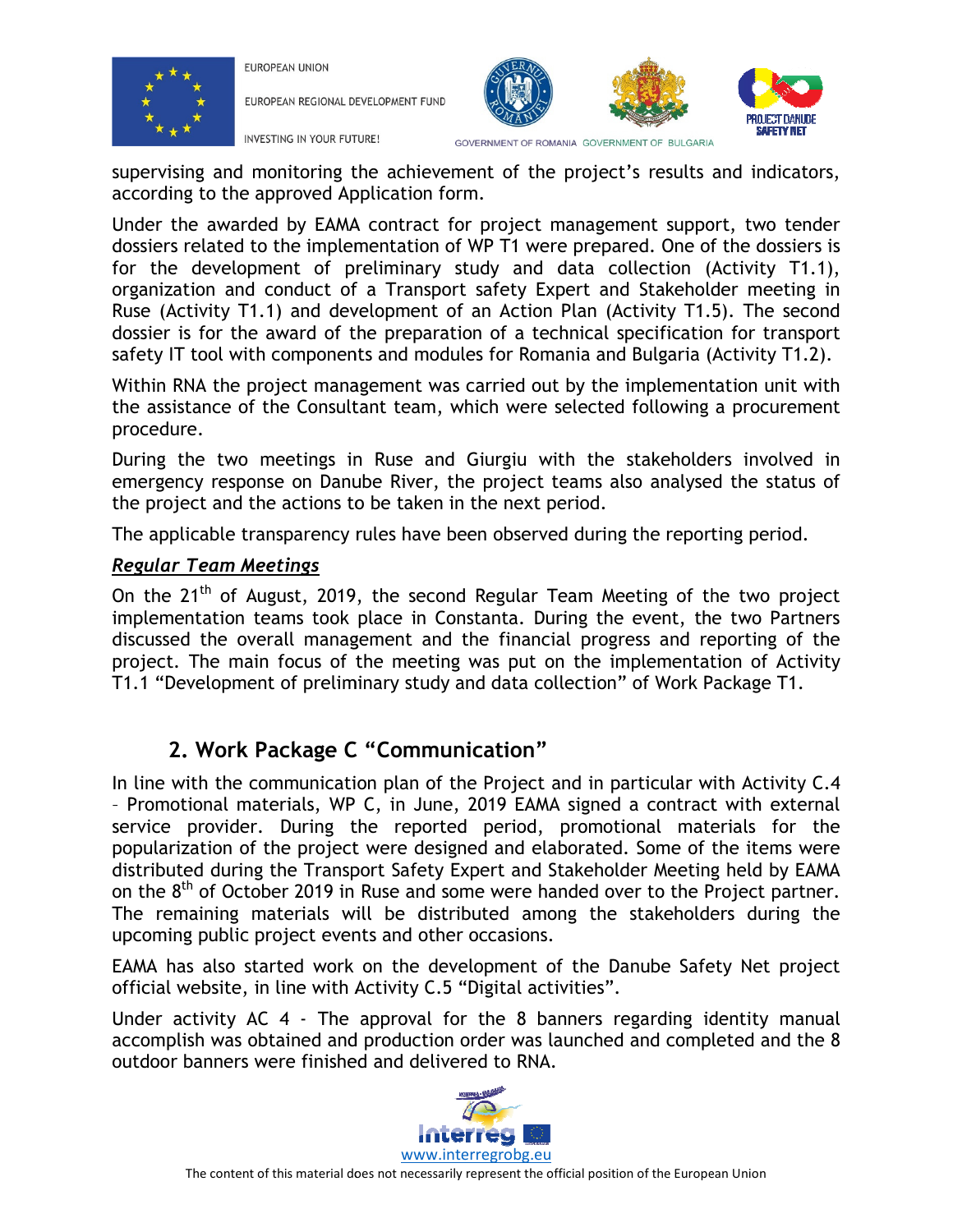

EUROPEAN UNION

EUROPEAN REGIONAL DEVELOPMENT FUND





supervising and monitoring the achievement of the project's results and indicators, according to the approved Application form.

Under the awarded by EAMA contract for project management support, two tender dossiers related to the implementation of WP T1 were prepared. One of the dossiers is for the development of preliminary study and data collection (Activity T1.1), organization and conduct of a Transport safety Expert and Stakeholder meeting in Ruse (Activity T1.1) and development of an Action Plan (Activity T1.5). The second dossier is for the award of the preparation of a technical specification for transport safety IT tool with components and modules for Romania and Bulgaria (Activity T1.2).

Within RNA the project management was carried out by the implementation unit with the assistance of the Consultant team, which were selected following a procurement procedure.

During the two meetings in Ruse and Giurgiu with the stakeholders involved in emergency response on Danube River, the project teams also analysed the status of the project and the actions to be taken in the next period.

The applicable transparency rules have been observed during the reporting period.

#### Regular Team Meetings

On the  $21<sup>th</sup>$  of August, 2019, the second Regular Team Meeting of the two project implementation teams took place in Constanta. During the event, the two Partners discussed the overall management and the financial progress and reporting of the project. The main focus of the meeting was put on the implementation of Activity T1.1 "Development of preliminary study and data collection" of Work Package T1. ved during the reporting period.<br>Team Meeting of the two project<br>During the event, the two Partners<br>icial progress and reporting of the<br>on the implementation of Activity<br>collection" of Work Package T1.<br>,<br>,<br>t and in particu

# 2. Work Package C "Communication"

In line with the communication plan of the Project and in particular with Activity C.4 – Promotional materials, WP C, in June, 2019 EAMA signed a contract with external service provider. During the reported period, promotional materials for the popularization of the project were designed and elaborated. Some of the items were distributed during the Transport Safety Expert and Stakeholder Meeting held by EAMA on the  $8<sup>th</sup>$  of October 2019 in Ruse and some were handed over to the Project partner. The remaining materials will be distributed among the stakeholders during the upcoming public project events and other occasions. succervising and monitoring the achievement of the project's results and indicatos<br>according on the approved Application form.<br>
Under the avaread by EMA contract for project management support, two tend<br>
dosisers related t In the 21<sup>m</sup> of August, 2019, the second Regular Team Meeting of the two project<br>plementation teams took place in Constanta. During the event, the two Partners<br>scussed the overall management and the financial progress and

EAMA has also started work on the development of the Danube Safety Net project official website, in line with Activity C.5 "Digital activities".

Under activity AC 4 - The approval for the 8 banners regarding identity manual accomplish was obtained and production order was launched and the 8 outdoor banners were finished and delivered to RNA.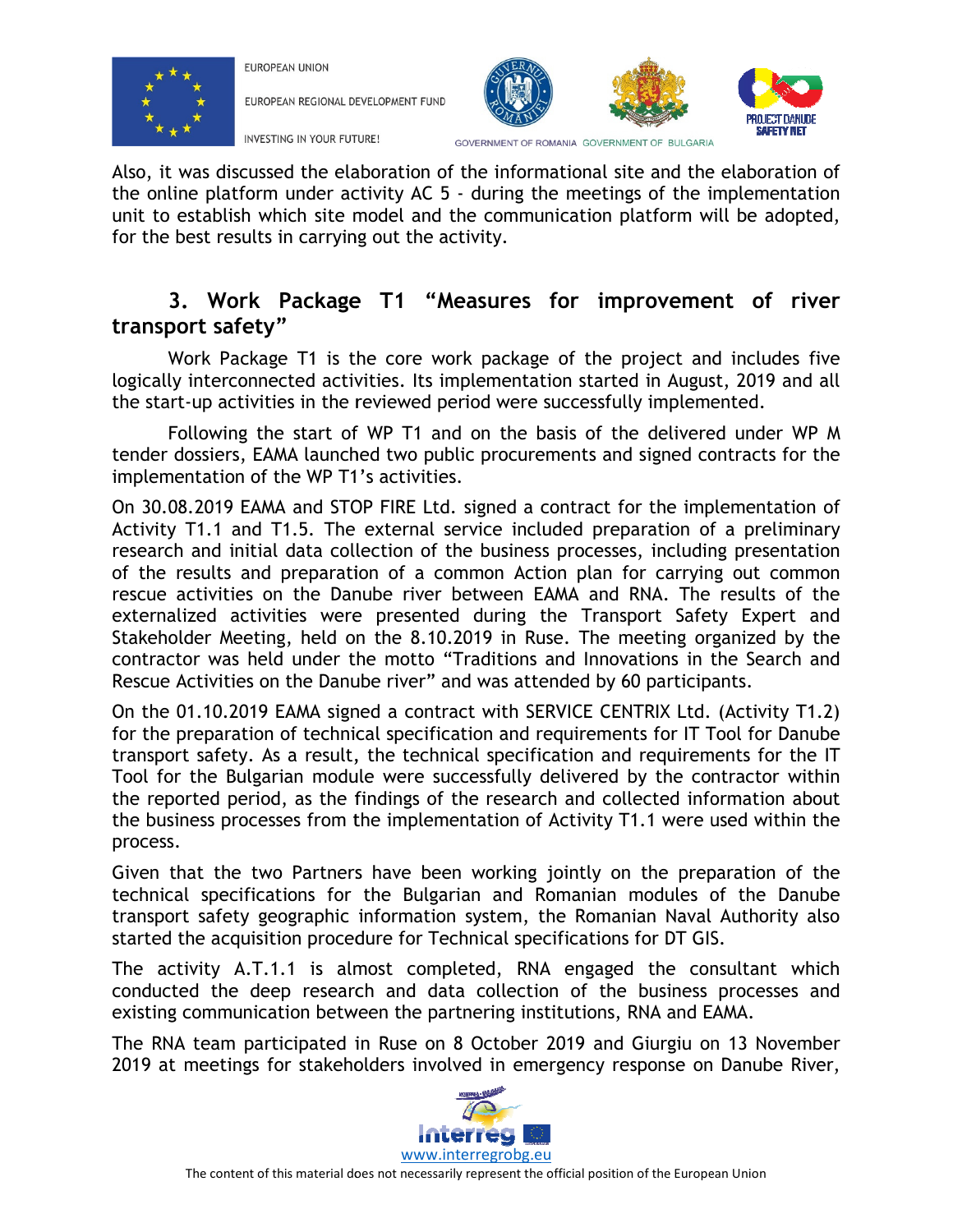

**FUROPEAN UNION** 

EUROPEAN REGIONAL DEVELOPMENT FUND



INVESTING IN YOUR FUTURE!

GOVERNMENT OF ROMANIA GOVERNMENT OF BULGARIA

Also, it was discussed the elaboration of the informational site and the elaboration of the online platform under activity AC 5 - during the meetings of the implementation unit to establish which site model and the communication platform will be adopted, for the best results in carrying out the activity.

## 3. Work Package T1 "Measures for improvement of river transport safety"

Work Package T1 is the core work package of the project and includes five logically interconnected activities. Its implementation started in August, 2019 and all the start-up activities in the reviewed period were successfully implemented.

Following the start of WP T1 and on the basis of the delivered under WP M tender dossiers, EAMA launched two public procurements and signed contracts for the implementation of the WP T1's activities. Work Package T1 is the core work package of the project and includes filogically interconnected activities. Its implementation started in August, 2019 and a the start-up activities in the reviewed period were successfully

On 30.08.2019 EAMA and STOP FIRE Ltd. signed a contract for the implementation of Activity T1.1 and T1.5. The external service included preparation of a preliminary research and initial data collection of the business processes, including presentation research and initial data collection of the business processes, including presentation<br>of the results and preparation of a common Action plan for carrying out common rescue activities on the Danube river between EAMA and RNA. The results of the rescue activities on the Danube river between EAMA and RNA. The results of the<br>externalized activities were presented during the Transport Safety Expert and Stakeholder Meeting, held on the 8.10.2019 in Ruse. The meeting organized by the contractor was held under the motto "Traditions and Innovations in the Search and Rescue Activities on the Danube river" and was attended by 60 participants. d the elaboration of the information is early easing the and the elaboration of the information of the information and the divergent of controls it would a carrying out the activity.<br>
This the core work package of the proj AC 5 - during the meetings of the implementation<br>and the communication platform will be adopted,<br>he activity.<br>"**Weasures for improvement of river**<br>e work package of the project and includes five<br>tis implementation started xternal service included preparation of a preliminary<br>tion of the business processes, including presentation<br>of a common Action plan for carrying out common<br>presented during the Transport Safety Expert and<br>the 8.10.2019 in

Rescue Activities on the Danube river" and was attended by 60 participants.<br>On the 01.10.2019 EAMA signed a contract with SERVICE CENTRIX Ltd. (Activity T1.2) for the preparation of technical specification and requirements for IT Tool for Danube transport safety. As a result, the technical specification and requirements for the IT Tool for the Bulgarian module were successfully delivered by the contractor within the reported period, as the findings of the research and collected information about the business processes from the implementation of Activity T1.1 were used within the process. for the preparation of technical specification and requirements for IT Tool for Danube<br>transport safety. As a result, the technical specification and requirements for the IT<br>Tool for the Bulgarian module were successfully

Given that the two Partners have been working jointly on the preparation of the technical specifications for the Bulgarian and Romanian modules of the Danube technical specifications for the Bulgarian and Romanian modules of the Danube<br>transport safety geographic information system, the Romanian Naval Authority also started the acquisition procedure for Technical specifications for DT GIS.

The activity A.T.1.1 is almost completed, RNA engaged the consultant which conducted the deep research and data collection of the business processes and existing communication between the partnering institutions, RNA and EAMA. conducted the deep research and data collection of the business processes and<br>existing communication between the partnering institutions, RNA and EAMA.<br>The RNA team participated in Ruse on 8 October 2019 and Giurgiu on 13

2019 at meetings for stakeholders involved in emergency response on Danube River,